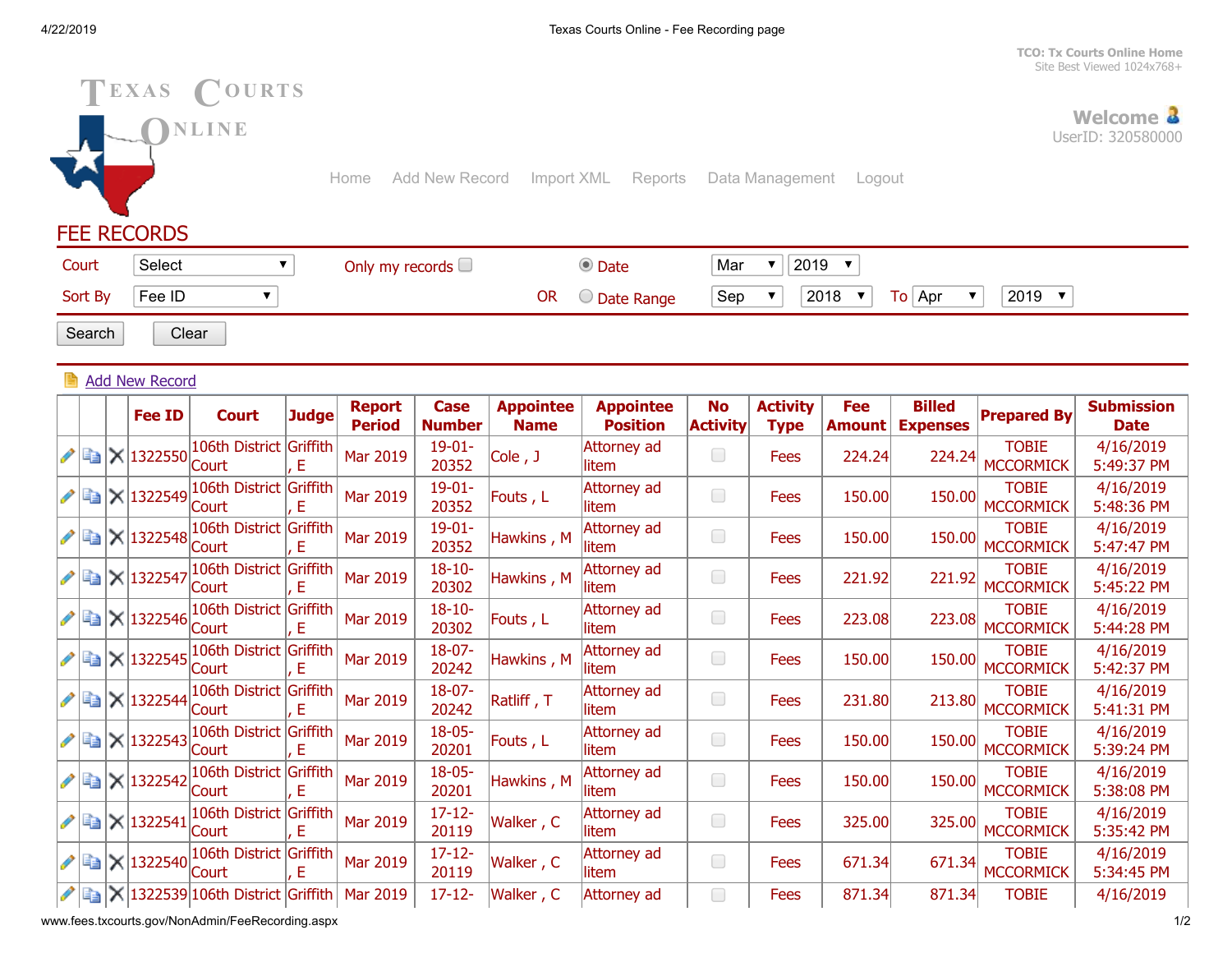**[TCO: Tx Courts Online Home](http://www.txcourts.gov/)** Site Best Viewed 1024x768+



www.fees.txcourts.gov/NonAdmin/FeeRecording.aspx 1/2